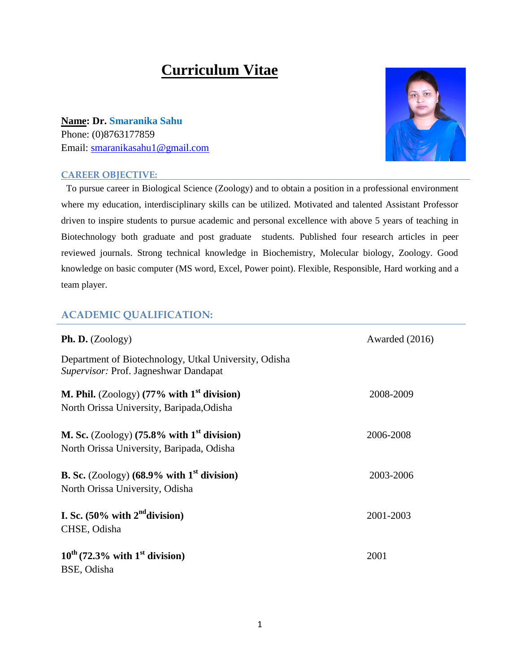# **Curriculum Vitae**

**Name: Dr. Smaranika Sahu** Phone: (0)8763177859 Email: [smaranikasahu1@gmail.com](mailto:smaranikasahu1@gmail.com)

#### **CAREER OBJECTIVE:**



To pursue career in Biological Science (Zoology) and to obtain a position in a professional environment where my education, interdisciplinary skills can be utilized. Motivated and talented Assistant Professor driven to inspire students to pursue academic and personal excellence with above 5 years of teaching in Biotechnology both graduate and post graduate students. Published four research articles in peer reviewed journals. Strong technical knowledge in Biochemistry, Molecular biology, Zoology. Good knowledge on basic computer (MS word, Excel, Power point). Flexible, Responsible, Hard working and a team player.

## **ACADEMIC QUALIFICATION:**

| <b>Ph. D.</b> $(Zoology)$                                                                                             | Awarded (2016) |
|-----------------------------------------------------------------------------------------------------------------------|----------------|
| Department of Biotechnology, Utkal University, Odisha<br>Supervisor: Prof. Jagneshwar Dandapat                        |                |
| M. Phil. (Zoology) (77% with $1st$ division)<br>North Orissa University, Baripada, Odisha                             | 2008-2009      |
| M. Sc. (Zoology) $(75.8\% \text{ with } 1^{\text{st}} \text{ division})$<br>North Orissa University, Baripada, Odisha | 2006-2008      |
| <b>B. Sc.</b> (Zoology) $(68.9\% \text{ with } 1^{\text{st}} \text{ division})$<br>North Orissa University, Odisha    | 2003-2006      |
| I. Sc. $(50\%$ with $2nd$ division)<br>CHSE, Odisha                                                                   | 2001-2003      |
| $10^{th}$ (72.3% with $1^{st}$ division)<br>BSE, Odisha                                                               | 2001           |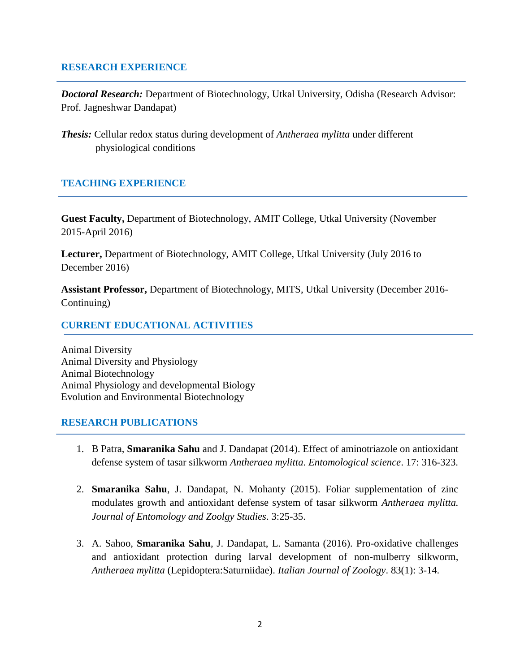## **RESEARCH EXPERIENCE**

*Doctoral Research:* Department of Biotechnology, Utkal University, Odisha (Research Advisor: Prof. Jagneshwar Dandapat)

*Thesis:* Cellular redox status during development of *Antheraea mylitta* under different physiological conditions

## **TEACHING EXPERIENCE**

**Guest Faculty,** Department of Biotechnology, AMIT College, Utkal University (November 2015-April 2016)

**Lecturer,** Department of Biotechnology, AMIT College, Utkal University (July 2016 to December 2016)

**Assistant Professor,** Department of Biotechnology, MITS, Utkal University (December 2016- Continuing)

## **CURRENT EDUCATIONAL ACTIVITIES**

Animal Diversity Animal Diversity and Physiology Animal Biotechnology Animal Physiology and developmental Biology Evolution and Environmental Biotechnology

#### **RESEARCH PUBLICATIONS**

- 1. B Patra, **Smaranika Sahu** and J. Dandapat (2014). Effect of aminotriazole on antioxidant defense system of tasar silkworm *Antheraea mylitta*. *Entomological science*. 17: 316-323.
- 2. **Smaranika Sahu**, J. Dandapat, N. Mohanty (2015). Foliar supplementation of zinc modulates growth and antioxidant defense system of tasar silkworm *Antheraea mylitta. Journal of Entomology and Zoolgy Studies*. 3:25-35.
- 3. A. Sahoo, **Smaranika Sahu**, J. Dandapat, L. Samanta (2016). Pro-oxidative challenges and antioxidant protection during larval development of non-mulberry silkworm, *Antheraea mylitta* (Lepidoptera:Saturniidae). *Italian Journal of Zoology*. 83(1): 3-14.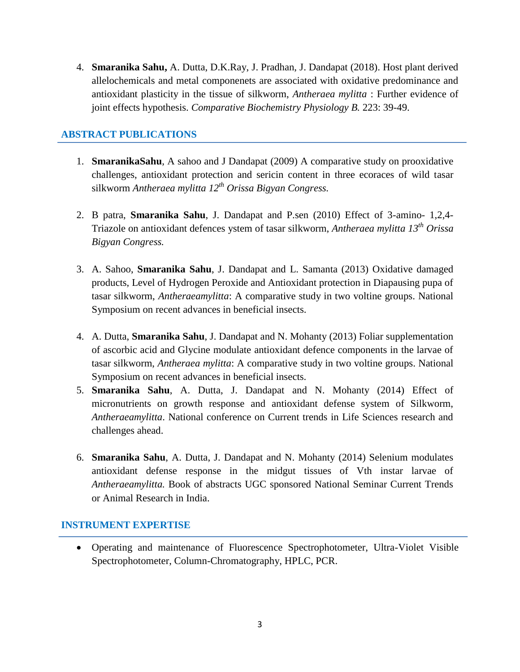4. **Smaranika Sahu,** A. Dutta, D.K.Ray, J. Pradhan, J. Dandapat (2018). Host plant derived allelochemicals and metal componenets are associated with oxidative predominance and antioxidant plasticity in the tissue of silkworm, *Antheraea mylitta* : Further evidence of joint effects hypothesis. *Comparative Biochemistry Physiology B.* 223: 39-49.

## **ABSTRACT PUBLICATIONS**

- 1. **SmaranikaSahu**, A sahoo and J Dandapat (2009) A comparative study on prooxidative challenges, antioxidant protection and sericin content in three ecoraces of wild tasar silkworm *Antheraea mylitta 12th Orissa Bigyan Congress.*
- 2. B patra, **Smaranika Sahu**, J. Dandapat and P.sen (2010) Effect of 3-amino- 1,2,4- Triazole on antioxidant defences ystem of tasar silkworm, *Antheraea mylitta 13th Orissa Bigyan Congress.*
- 3. A. Sahoo, **Smaranika Sahu**, J. Dandapat and L. Samanta (2013) Oxidative damaged products, Level of Hydrogen Peroxide and Antioxidant protection in Diapausing pupa of tasar silkworm, *Antheraeamylitta*: A comparative study in two voltine groups. National Symposium on recent advances in beneficial insects.
- 4. A. Dutta, **Smaranika Sahu**, J. Dandapat and N. Mohanty (2013) Foliar supplementation of ascorbic acid and Glycine modulate antioxidant defence components in the larvae of tasar silkworm, *Antheraea mylitta*: A comparative study in two voltine groups. National Symposium on recent advances in beneficial insects.
- 5. **Smaranika Sahu**, A. Dutta, J. Dandapat and N. Mohanty (2014) Effect of micronutrients on growth response and antioxidant defense system of Silkworm, *Antheraeamylitta*. National conference on Current trends in Life Sciences research and challenges ahead.
- 6. **Smaranika Sahu**, A. Dutta, J. Dandapat and N. Mohanty (2014) Selenium modulates antioxidant defense response in the midgut tissues of Vth instar larvae of *Antheraeamylitta.* Book of abstracts UGC sponsored National Seminar Current Trends or Animal Research in India.

## **INSTRUMENT EXPERTISE**

 Operating and maintenance of Fluorescence Spectrophotometer, Ultra-Violet Visible Spectrophotometer, Column-Chromatography, HPLC, PCR.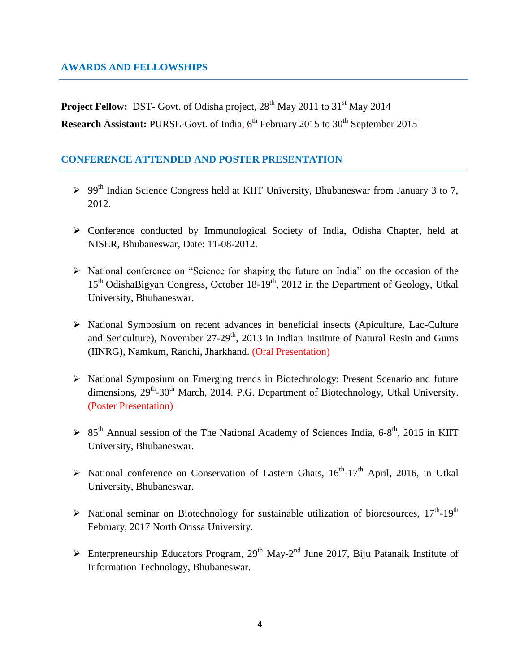## **AWARDS AND FELLOWSHIPS**

**Project Fellow:** DST- Govt. of Odisha project,  $28<sup>th</sup>$  May 2011 to 31<sup>st</sup> May 2014 **Research Assistant:** PURSE-Govt. of India, 6<sup>th</sup> February 2015 to 30<sup>th</sup> September 2015

## **CONFERENCE ATTENDED AND POSTER PRESENTATION**

- $\geq 99<sup>th</sup>$  Indian Science Congress held at KIIT University, Bhubaneswar from January 3 to 7, 2012.
- Conference conducted by Immunological Society of India, Odisha Chapter, held at NISER, Bhubaneswar, Date: 11-08-2012.
- $\triangleright$  National conference on "Science for shaping the future on India" on the occasion of the  $15<sup>th</sup>$  OdishaBigyan Congress, October  $18-19<sup>th</sup>$ , 2012 in the Department of Geology, Utkal University, Bhubaneswar.
- National Symposium on recent advances in beneficial insects (Apiculture, Lac-Culture and Sericulture), November  $27-29<sup>th</sup>$ , 2013 in Indian Institute of Natural Resin and Gums (IINRG), Namkum, Ranchi, Jharkhand. (Oral Presentation)
- > National Symposium on Emerging trends in Biotechnology: Present Scenario and future dimensions, 29<sup>th</sup>-30<sup>th</sup> March, 2014. P.G. Department of Biotechnology, Utkal University. (Poster Presentation)
- $85<sup>th</sup>$  Annual session of the The National Academy of Sciences India, 6-8<sup>th</sup>, 2015 in KIIT University, Bhubaneswar.
- $\triangleright$  National conference on Conservation of Eastern Ghats,  $16^{th}$ -17<sup>th</sup> April, 2016, in Utkal University, Bhubaneswar.
- $\triangleright$  National seminar on Biotechnology for sustainable utilization of bioresources, 17<sup>th</sup>-19<sup>th</sup> February, 2017 North Orissa University.
- $\triangleright$  Enterpreneurship Educators Program, 29<sup>th</sup> May-2<sup>nd</sup> June 2017, Biju Patanaik Institute of Information Technology, Bhubaneswar.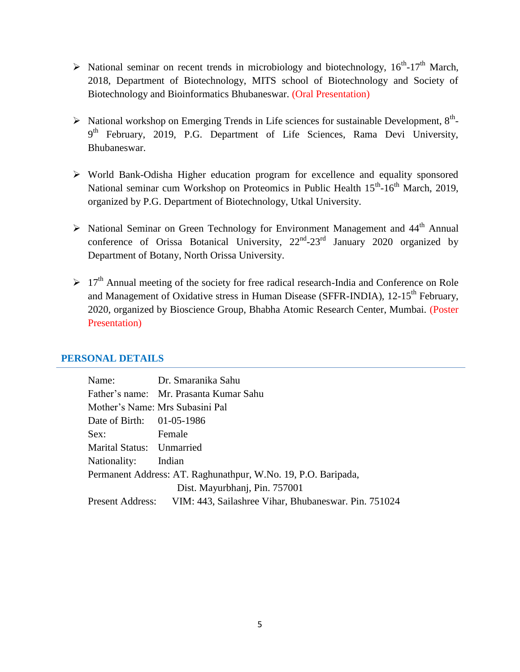- $\triangleright$  National seminar on recent trends in microbiology and biotechnology,  $16^{th}$ -17<sup>th</sup> March, 2018, Department of Biotechnology, MITS school of Biotechnology and Society of Biotechnology and Bioinformatics Bhubaneswar. (Oral Presentation)
- $\triangleright$  National workshop on Emerging Trends in Life sciences for sustainable Development, 8<sup>th</sup>-9<sup>th</sup> February, 2019, P.G. Department of Life Sciences, Rama Devi University, Bhubaneswar.
- World Bank-Odisha Higher education program for excellence and equality sponsored National seminar cum Workshop on Proteomics in Public Health 15<sup>th</sup>-16<sup>th</sup> March, 2019, organized by P.G. Department of Biotechnology, Utkal University.
- $\triangleright$  National Seminar on Green Technology for Environment Management and 44<sup>th</sup> Annual conference of Orissa Botanical University,  $22<sup>nd</sup> - 23<sup>rd</sup>$  January 2020 organized by Department of Botany, North Orissa University.
- $\geq 17<sup>th</sup>$  Annual meeting of the society for free radical research-India and Conference on Role and Management of Oxidative stress in Human Disease (SFFR-INDIA),  $12\text{-}15^{\text{th}}$  February, 2020, organized by Bioscience Group, Bhabha Atomic Research Center, Mumbai. (Poster Presentation)

#### **PERSONAL DETAILS**

|                           | Name: Dr. Smaranika Sahu                                              |  |
|---------------------------|-----------------------------------------------------------------------|--|
|                           | Father's name: Mr. Prasanta Kumar Sahu                                |  |
|                           | Mother's Name: Mrs Subasini Pal                                       |  |
| Date of Birth: 01-05-1986 |                                                                       |  |
| Sex:                      | Female                                                                |  |
| Marital Status: Unmarried |                                                                       |  |
| Nationality: Indian       |                                                                       |  |
|                           | Permanent Address: AT. Raghunathpur, W.No. 19, P.O. Baripada,         |  |
|                           | Dist. Mayurbhanj, Pin. 757001                                         |  |
|                           | Present Address: VIM: 443, Sailashree Vihar, Bhubaneswar. Pin. 751024 |  |